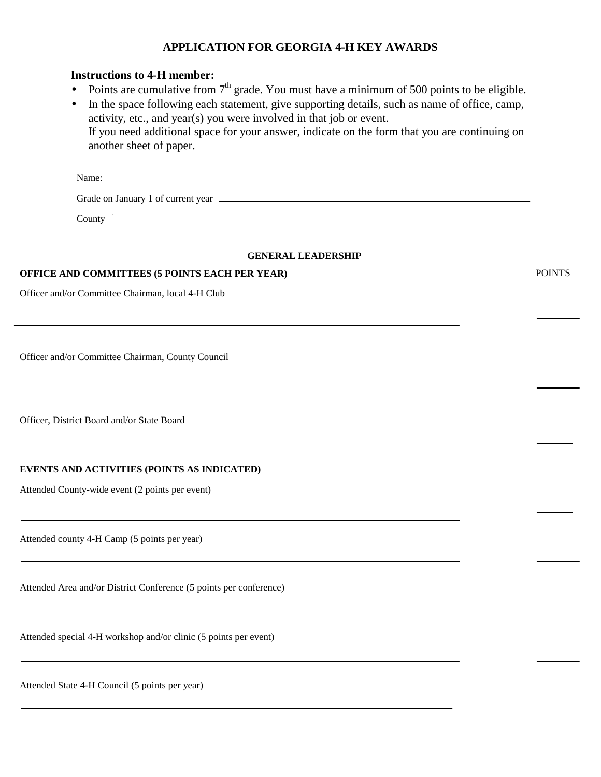## **APPLICATION FOR GEORGIA 4-H KEY AWARDS**

### **Instructions to 4-H member:**

- Points are cumulative from  $7<sup>th</sup>$  grade. You must have a minimum of 500 points to be eligible.
- In the space following each statement, give supporting details, such as name of office, camp, activity, etc., and year(s) you were involved in that job or event. If you need additional space for your answer, indicate on the form that you are continuing on another sheet of paper.

| Name:   |  |
|---------|--|
|         |  |
| County. |  |

#### **GENERAL LEADERSHIP**

#### **OFFICE AND COMMITTEES (5 POINTS EACH PER YEAR)** POINTS

Officer and/or Committee Chairman, local 4-H Club

Officer and/or Committee Chairman, County Council

Officer, District Board and/or State Board

#### **EVENTS AND ACTIVITIES (POINTS AS INDICATED)**

Attended County-wide event (2 points per event)

Attended county 4-H Camp (5 points per year)

Attended Area and/or District Conference (5 points per conference)

Attended special 4-H workshop and/or clinic (5 points per event)

Attended State 4-H Council (5 points per year)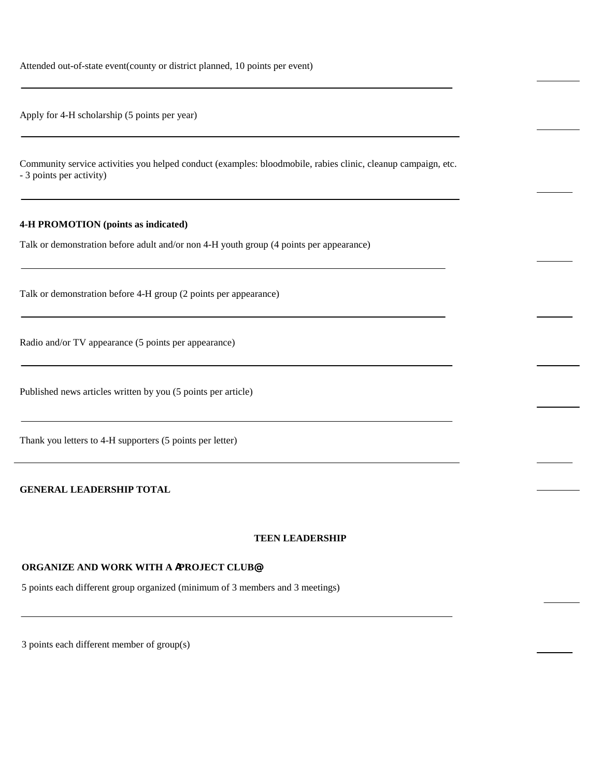Attended out-of-state event(county or district planned, 10 points per event)

Apply for 4-H scholarship (5 points per year)

Community service activities you helped conduct (examples: bloodmobile, rabies clinic, cleanup campaign, etc. - 3 points per activity)

#### **4-H PROMOTION (points as indicated)**

Talk or demonstration before adult and/or non 4-H youth group (4 points per appearance)

Talk or demonstration before 4-H group (2 points per appearance)

Radio and/or TV appearance (5 points per appearance)

Published news articles written by you (5 points per article)

Thank you letters to 4-H supporters (5 points per letter)

**GENERAL LEADERSHIP TOTAL**

#### **TEEN LEADERSHIP**

#### **ORGANIZE AND WORK WITH A** A**PROJECT CLUB**@

5 points each different group organized (minimum of 3 members and 3 meetings)

3 points each different member of group(s)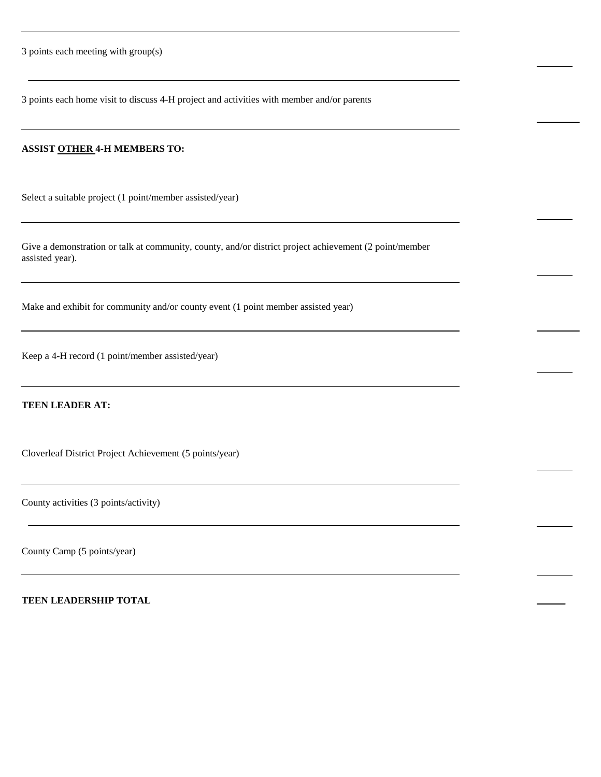3 points each meeting with group(s)

3 points each home visit to discuss 4-H project and activities with member and/or parents

### **ASSIST OTHER 4-H MEMBERS TO:**

Select a suitable project (1 point/member assisted/year)

Give a demonstration or talk at community, county, and/or district project achievement (2 point/member assisted year).

Make and exhibit for community and/or county event (1 point member assisted year)

Keep a 4-H record (1 point/member assisted/year)

## **TEEN LEADER AT:**

Cloverleaf District Project Achievement (5 points/year)

County activities (3 points/activity)

County Camp (5 points/year)

**TEEN LEADERSHIP TOTAL**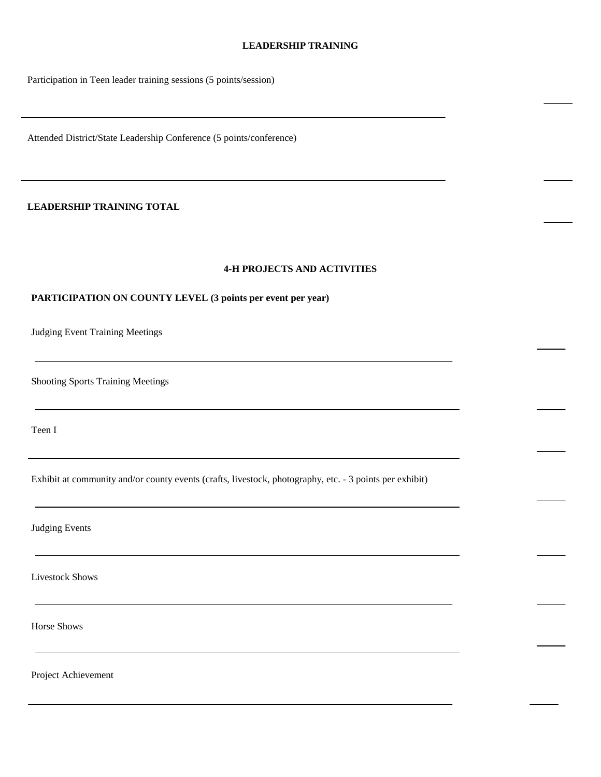#### **LEADERSHIP TRAINING**

Participation in Teen leader training sessions (5 points/session)

Attended District/State Leadership Conference (5 points/conference)

### **LEADERSHIP TRAINING TOTAL**

#### **4-H PROJECTS AND ACTIVITIES**

#### **PARTICIPATION ON COUNTY LEVEL (3 points per event per year)**

Judging Event Training Meetings

Shooting Sports Training Meetings

Teen I

Exhibit at community and/or county events (crafts, livestock, photography, etc. - 3 points per exhibit)

Judging Events

Livestock Shows

Horse Shows

Project Achievement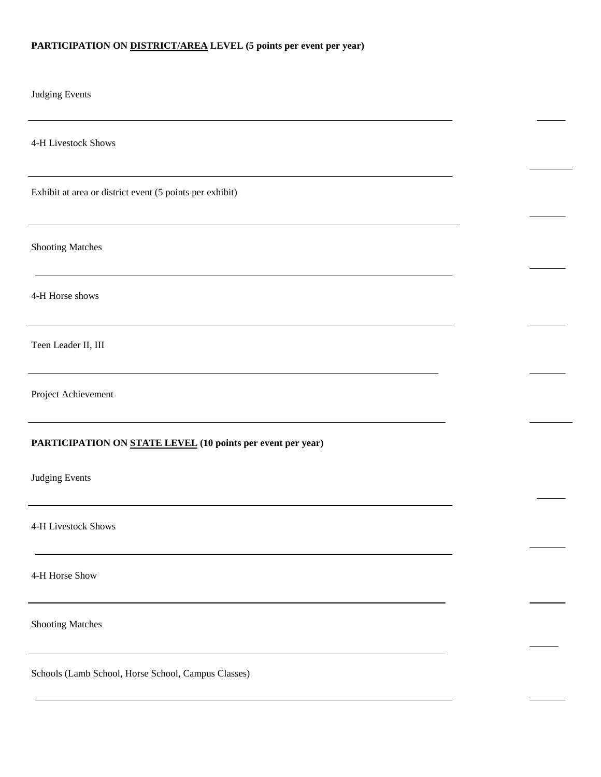# **PARTICIPATION ON DISTRICT/AREA LEVEL (5 points per event per year)**

| <b>Judging Events</b>                                       |  |
|-------------------------------------------------------------|--|
| 4-H Livestock Shows                                         |  |
| Exhibit at area or district event (5 points per exhibit)    |  |
| <b>Shooting Matches</b>                                     |  |
| 4-H Horse shows                                             |  |
| Teen Leader II, III                                         |  |
| Project Achievement                                         |  |
| PARTICIPATION ON STATE LEVEL (10 points per event per year) |  |
| <b>Judging Events</b>                                       |  |
| 4-H Livestock Shows                                         |  |
| 4-H Horse Show                                              |  |
| <b>Shooting Matches</b>                                     |  |
| Schools (Lamb School, Horse School, Campus Classes)         |  |